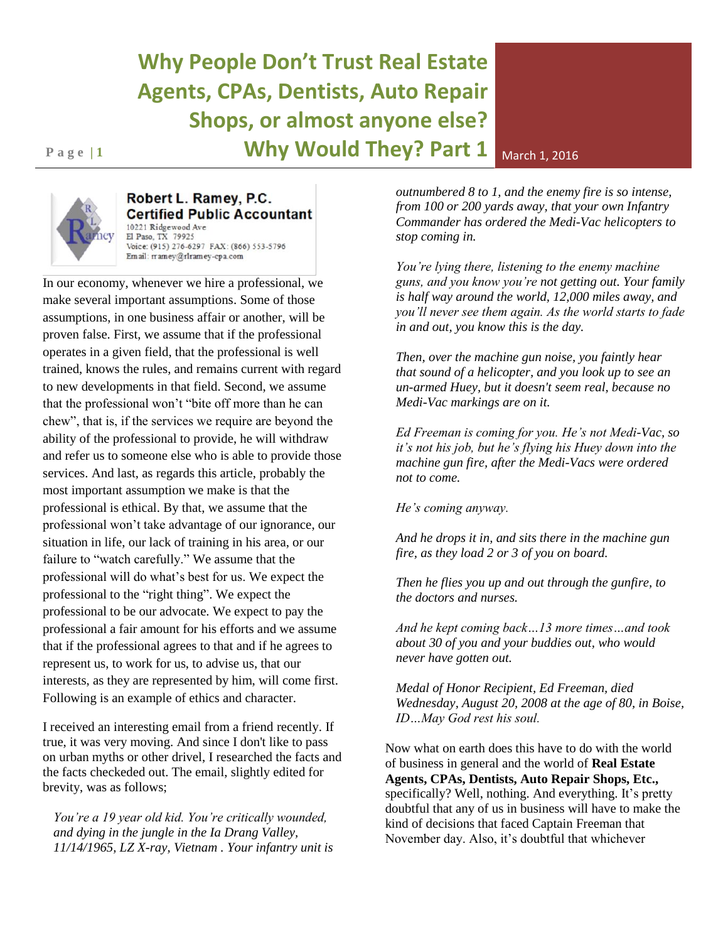## **Why People Don't Trust Real Estate Agents, CPAs, Dentists, Auto Repair Shops, or almost anyone else? Page 11 1 Why Would They? Part 1** March 1, 2016



## Robert L. Ramey, P.C. **Certified Public Accountant** 10221 Ridgewood Ave El Paso, TX 79925 Voice: (915) 276-6297 FAX: (866) 553-5796 Em ail: rramey@rlramey-cpa.com

In our economy, whenever we hire a professional, we make several important assumptions. Some of those assumptions, in one business affair or another, will be proven false. First, we assume that if the professional operates in a given field, that the professional is well trained, knows the rules, and remains current with regard to new developments in that field. Second, we assume that the professional won't "bite off more than he can chew", that is, if the services we require are beyond the ability of the professional to provide, he will withdraw and refer us to someone else who is able to provide those services. And last, as regards this article, probably the most important assumption we make is that the professional is ethical. By that, we assume that the professional won't take advantage of our ignorance, our situation in life, our lack of training in his area, or our failure to "watch carefully." We assume that the professional will do what's best for us. We expect the professional to the "right thing". We expect the professional to be our advocate. We expect to pay the professional a fair amount for his efforts and we assume that if the professional agrees to that and if he agrees to represent us, to work for us, to advise us, that our interests, as they are represented by him, will come first. Following is an example of ethics and character.

I received an interesting email from a friend recently. If true, it was very moving. And since I don't like to pass on urban myths or other drivel, I researched the facts and the facts checkeded out. The email, slightly edited for brevity, was as follows;

*You're a 19 year old kid. You're critically wounded, and dying in the jungle in the Ia Drang Valley, 11/14/1965, LZ X-ray, Vietnam . Your infantry unit is* 

*outnumbered 8 to 1, and the enemy fire is so intense, from 100 or 200 yards away, that your own Infantry Commander has ordered the Medi-Vac helicopters to stop coming in.* 

*You're lying there, listening to the enemy machine guns, and you know you're not getting out. Your family is half way around the world, 12,000 miles away, and you'll never see them again. As the world starts to fade in and out, you know this is the day.* 

*Then, over the machine gun noise, you faintly hear that sound of a helicopter, and you look up to see an un-armed Huey, but it doesn't seem real, because no Medi-Vac markings are on it.*

*Ed Freeman is coming for you. He's not Medi-Vac, so it's not his job, but he's flying his Huey down into the machine gun fire, after the Medi-Vacs were ordered not to come.*

*He's coming anyway.* 

*And he drops it in, and sits there in the machine gun fire, as they load 2 or 3 of you on board.* 

*Then he flies you up and out through the gunfire, to the doctors and nurses.* 

*And he kept coming back…13 more times…and took about 30 of you and your buddies out, who would never have gotten out.* 

*Medal of Honor Recipient, Ed Freeman, died Wednesday, August 20, 2008 at the age of 80, in Boise, ID…May God rest his soul.* 

Now what on earth does this have to do with the world of business in general and the world of **Real Estate Agents, CPAs, Dentists, Auto Repair Shops, Etc.,**  specifically? Well, nothing. And everything. It's pretty doubtful that any of us in business will have to make the kind of decisions that faced Captain Freeman that November day. Also, it's doubtful that whichever